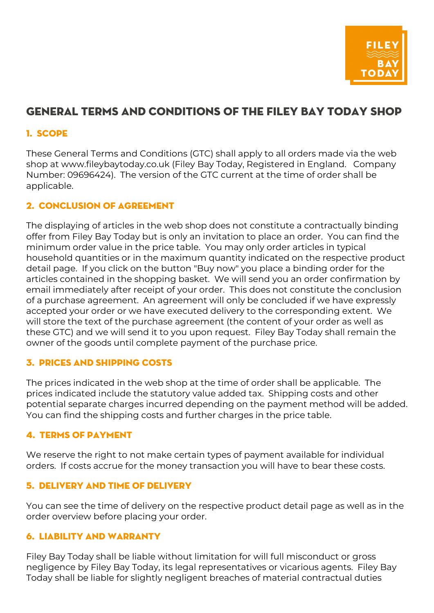

# General Terms and Conditions of the Filey Bay Today Shop

# 1. Scope

These General Terms and Conditions (GTC) shall apply to all orders made via the web shop at www.fileybaytoday.co.uk (Filey Bay Today, Registered in England. Company Number: 09696424). The version of the GTC current at the time of order shall be applicable.

# 2. Conclusion of Agreement

The displaying of articles in the web shop does not constitute a contractually binding offer from Filey Bay Today but is only an invitation to place an order. You can find the minimum order value in the price table. You may only order articles in typical household quantities or in the maximum quantity indicated on the respective product detail page. If you click on the button "Buy now" you place a binding order for the articles contained in the shopping basket. We will send you an order confirmation by email immediately after receipt of your order. This does not constitute the conclusion of a purchase agreement. An agreement will only be concluded if we have expressly accepted your order or we have executed delivery to the corresponding extent. We will store the text of the purchase agreement (the content of your order as well as these GTC) and we will send it to you upon request. Filey Bay Today shall remain the owner of the goods until complete payment of the purchase price.

# 3. Prices and Shipping Costs

The prices indicated in the web shop at the time of order shall be applicable. The prices indicated include the statutory value added tax. Shipping costs and other potential separate charges incurred depending on the payment method will be added. You can find the shipping costs and further charges in the price table.

# 4. Terms of Payment

We reserve the right to not make certain types of payment available for individual orders. If costs accrue for the money transaction you will have to bear these costs.

# 5. Delivery and Time of Delivery

You can see the time of delivery on the respective product detail page as well as in the order overview before placing your order.

#### 6. Liability and Warranty

Filey Bay Today shall be liable without limitation for will full misconduct or gross negligence by Filey Bay Today, its legal representatives or vicarious agents. Filey Bay Today shall be liable for slightly negligent breaches of material contractual duties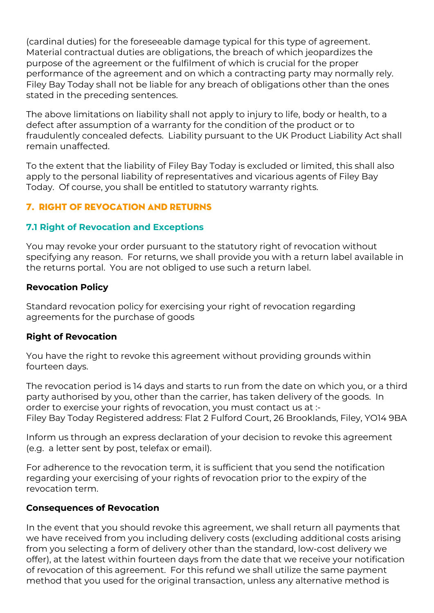(cardinal duties) for the foreseeable damage typical for this type of agreement. Material contractual duties are obligations, the breach of which jeopardizes the purpose of the agreement or the fulfilment of which is crucial for the proper performance of the agreement and on which a contracting party may normally rely. Filey Bay Today shall not be liable for any breach of obligations other than the ones stated in the preceding sentences.

The above limitations on liability shall not apply to injury to life, body or health, to a defect after assumption of a warranty for the condition of the product or to fraudulently concealed defects. Liability pursuant to the UK Product Liability Act shall remain unaffected.

To the extent that the liability of Filey Bay Today is excluded or limited, this shall also apply to the personal liability of representatives and vicarious agents of Filey Bay Today. Of course, you shall be entitled to statutory warranty rights.

# 7. Right of Revocation and Returns

#### **7.1 Right of Revocation and Exceptions**

You may revoke your order pursuant to the statutory right of revocation without specifying any reason. For returns, we shall provide you with a return label available in the returns portal. You are not obliged to use such a return label.

#### **Revocation Policy**

Standard revocation policy for exercising your right of revocation regarding agreements for the purchase of goods

#### **Right of Revocation**

You have the right to revoke this agreement without providing grounds within fourteen days.

The revocation period is 14 days and starts to run from the date on which you, or a third party authorised by you, other than the carrier, has taken delivery of the goods. In order to exercise your rights of revocation, you must contact us at :- Filey Bay Today Registered address: Flat 2 Fulford Court, 26 Brooklands, Filey, YO14 9BA

Inform us through an express declaration of your decision to revoke this agreement (e.g. a letter sent by post, telefax or email).

For adherence to the revocation term, it is sufficient that you send the notification regarding your exercising of your rights of revocation prior to the expiry of the revocation term.

#### **Consequences of Revocation**

In the event that you should revoke this agreement, we shall return all payments that we have received from you including delivery costs (excluding additional costs arising from you selecting a form of delivery other than the standard, low-cost delivery we offer), at the latest within fourteen days from the date that we receive your notification of revocation of this agreement. For this refund we shall utilize the same payment method that you used for the original transaction, unless any alternative method is